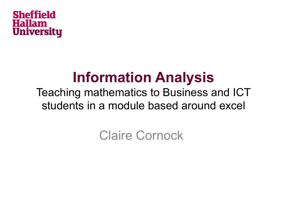

### **Information Analysis**

#### Teaching mathematics to Business and ICT students in a module based around excel

Claire Cornock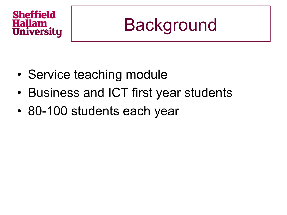### **Background**

- Service teaching module
- Business and ICT first year students
- 80-100 students each year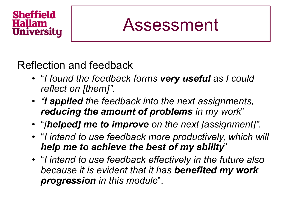### Assessment

Reflection and feedback

- "*I found the feedback forms very useful as I could reflect on [them]".*
- *"I applied the feedback into the next assignments, reducing the amount of problems in my work*"
- "*[helped] me to improve on the next [assignment]".*
- "*I intend to use feedback more productively, which will help me to achieve the best of my ability*"
- "*I intend to use feedback effectively in the future also because it is evident that it has benefited my work progression in this module*".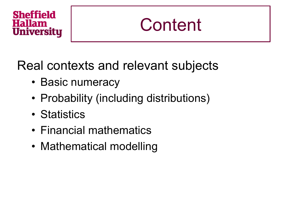

Real contexts and relevant subjects

- Basic numeracy
- Probability (including distributions)
- Statistics
- Financial mathematics
- Mathematical modelling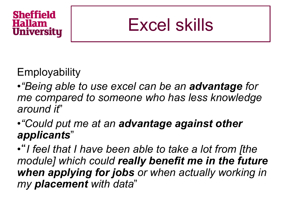### Excel skills

**Employability** 

- •*"Being able to use excel can be an advantage for me compared to someone who has less knowledge around it*"
- •*"Could put me at an advantage against other applicants*"

• "*I feel that I have been able to take a lot from [the module] which could really benefit me in the future when applying for jobs or when actually working in my placement with data*"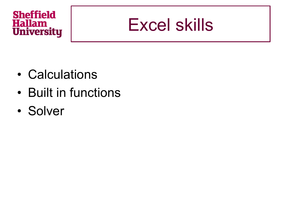### Excel skills

- Calculations
- Built in functions
- Solver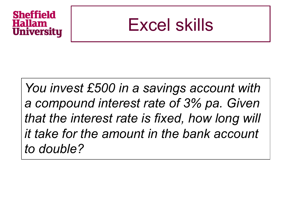

*You invest £500 in a savings account with a compound interest rate of 3% pa. Given that the interest rate is fixed, how long will it take for the amount in the bank account to double?*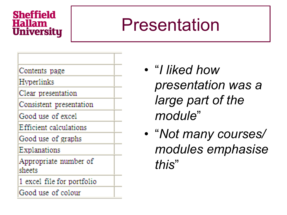### Presentation



1 excel file for portfolio

Good use of colour

- "*I liked how presentation was a large part of the module*"
- "*Not many courses/ modules emphasise this*"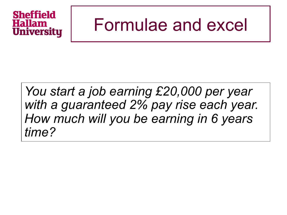### Formulae and excel

#### *You start a job earning £20,000 per year with a guaranteed 2% pay rise each year. How much will you be earning in 6 years time?*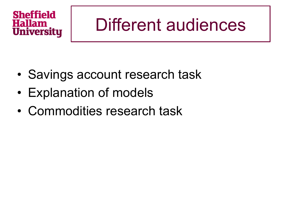### Different audiences

- Savings account research task
- Explanation of models
- Commodities research task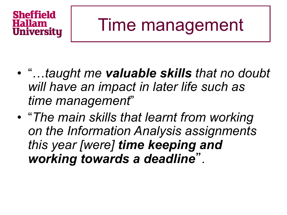### Time management

- "…*taught me valuable skills that no doubt will have an impact in later life such as time management*"
- "*The main skills that learnt from working on the Information Analysis assignments this year [were] time keeping and working towards a deadline*".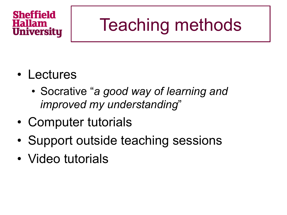### Teaching methods

- Lectures
	- Socrative "*a good way of learning and improved my understanding*"
- Computer tutorials
- Support outside teaching sessions
- Video tutorials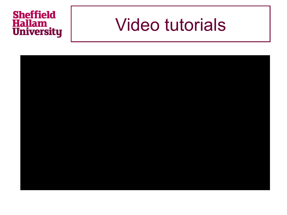# **Sheffield<br>Hallam<br>University**

### Video tutorials

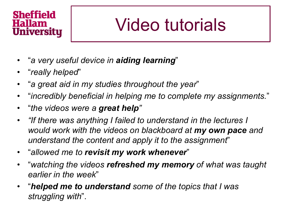### Video tutorials

- "*a very useful device in aiding learning*"
- "*really helped*"
- "*a great aid in my studies throughout the year*"
- "*incredibly beneficial in helping me to complete my assignments.*"
- "*the videos were a great help"*
- *"If there was anything I failed to understand in the lectures I would work with the videos on blackboard at my own pace and understand the content and apply it to the assignment*"
- "*allowed me to revisit my work whenever*"
- "*watching the videos refreshed my memory of what was taught earlier in the week*"
- "*helped me to understand some of the topics that I was struggling with*".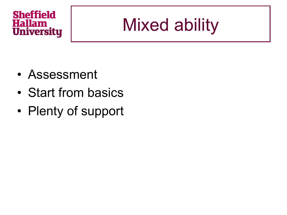# Mixed ability

- Assessment
- Start from basics
- Plenty of support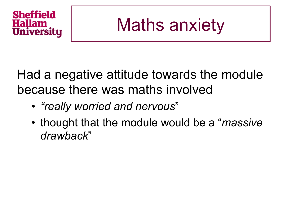## Maths anxiety

Had a negative attitude towards the module because there was maths involved

- *"really worried and nervous*"
- thought that the module would be a "*massive drawback*"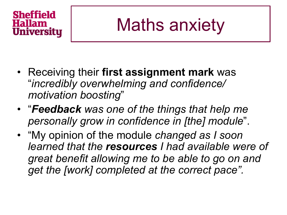# Maths anxiety

- Receiving their **first assignment mark** was "*incredibly overwhelming and confidence/ motivation boosting*"
- "*Feedback was one of the things that help me personally grow in confidence in [the] module*".
- "My opinion of the module *changed as I soon learned that the resources I had available were of great benefit allowing me to be able to go on and get the [work] completed at the correct pace".*